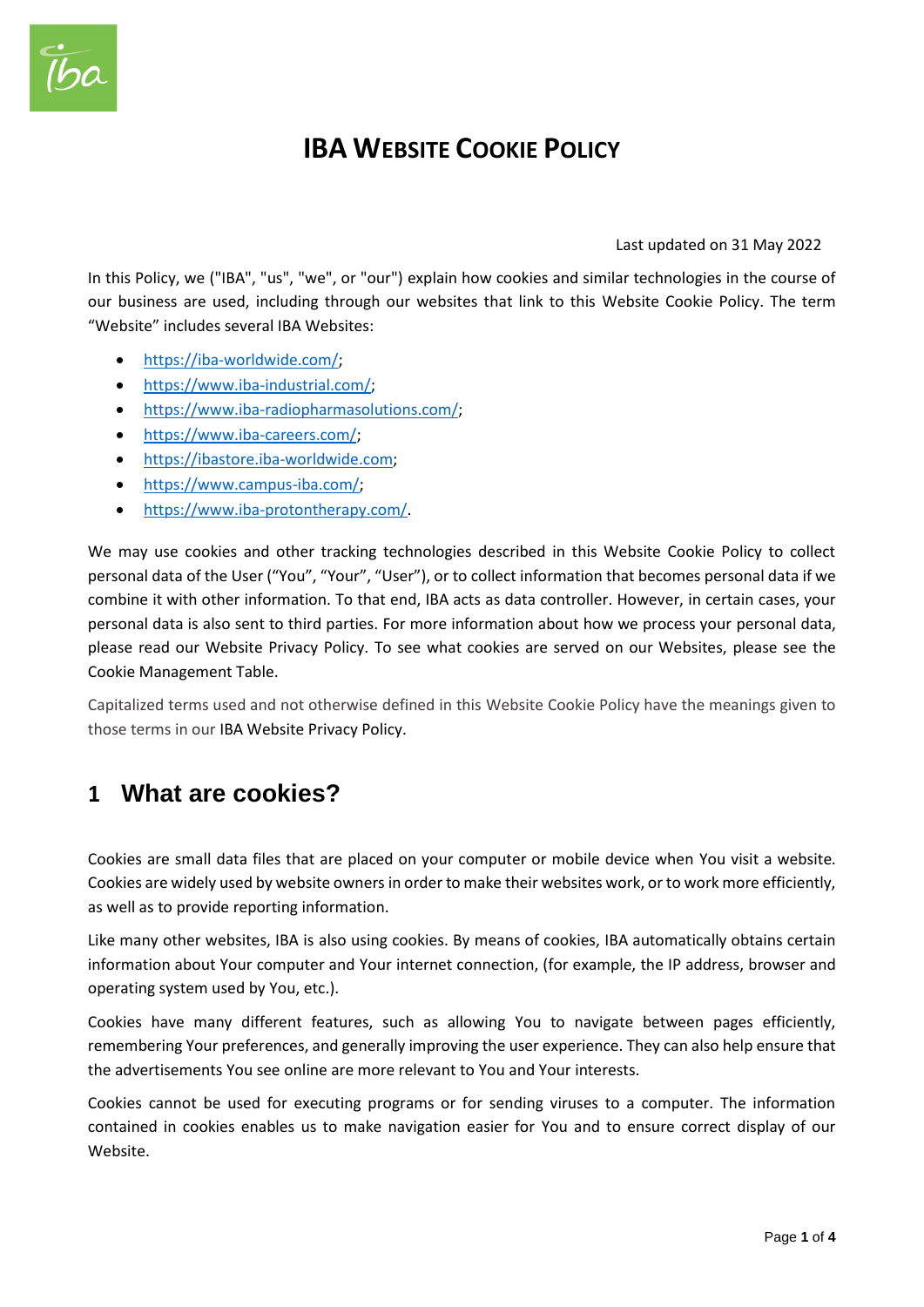

# **IBA WEBSITE COOKIE POLICY**

#### Last updated on 31 May 2022

In this Policy, we ("IBA", "us", "we", or "our") explain how cookies and similar technologies in the course of our business are used, including through our websites that link to this Website Cookie Policy. The term "Website" includes several IBA Websites:

- [https://iba-worldwide.com/;](https://iba-worldwide.com/)
- [https://www.iba-industrial.com/;](https://www.iba-industrial.com/)
- [https://www.iba-radiopharmasolutions.com/;](https://www.iba-radiopharmasolutions.com/)
- https://www.iba-careers.com/:
- [https://ibastore.iba-worldwide.com;](https://ibastore.iba-worldwide.com/)
- [https://www.campus-iba.com/;](https://www.campus-iba.com/)
- [https://www.iba-protontherapy.com/.](https://www.iba-protontherapy.com/)

We may use cookies and other tracking technologies described in this Website Cookie Policy to collect personal data of the User ("You", "Your", "User"), or to collect information that becomes personal data if we combine it with other information. To that end, IBA acts as data controller. However, in certain cases, your personal data is also sent to third parties. For more information about how we process your personal data, please read our Website Privacy Policy. To see what cookies are served on our Websites, please see the Cookie Management Table.

Capitalized terms used and not otherwise defined in this Website Cookie Policy have the meanings given to those terms in our IBA Website Privacy Policy.

### **1 What are cookies?**

Cookies are small data files that are placed on your computer or mobile device when You visit a website. Cookies are widely used by website owners in order to make their websites work, or to work more efficiently, as well as to provide reporting information.

Like many other websites, IBA is also using cookies. By means of cookies, IBA automatically obtains certain information about Your computer and Your internet connection, (for example, the IP address, browser and operating system used by You, etc.).

Cookies have many different features, such as allowing You to navigate between pages efficiently, remembering Your preferences, and generally improving the user experience. They can also help ensure that the advertisements You see online are more relevant to You and Your interests.

Cookies cannot be used for executing programs or for sending viruses to a computer. The information contained in cookies enables us to make navigation easier for You and to ensure correct display of our Website.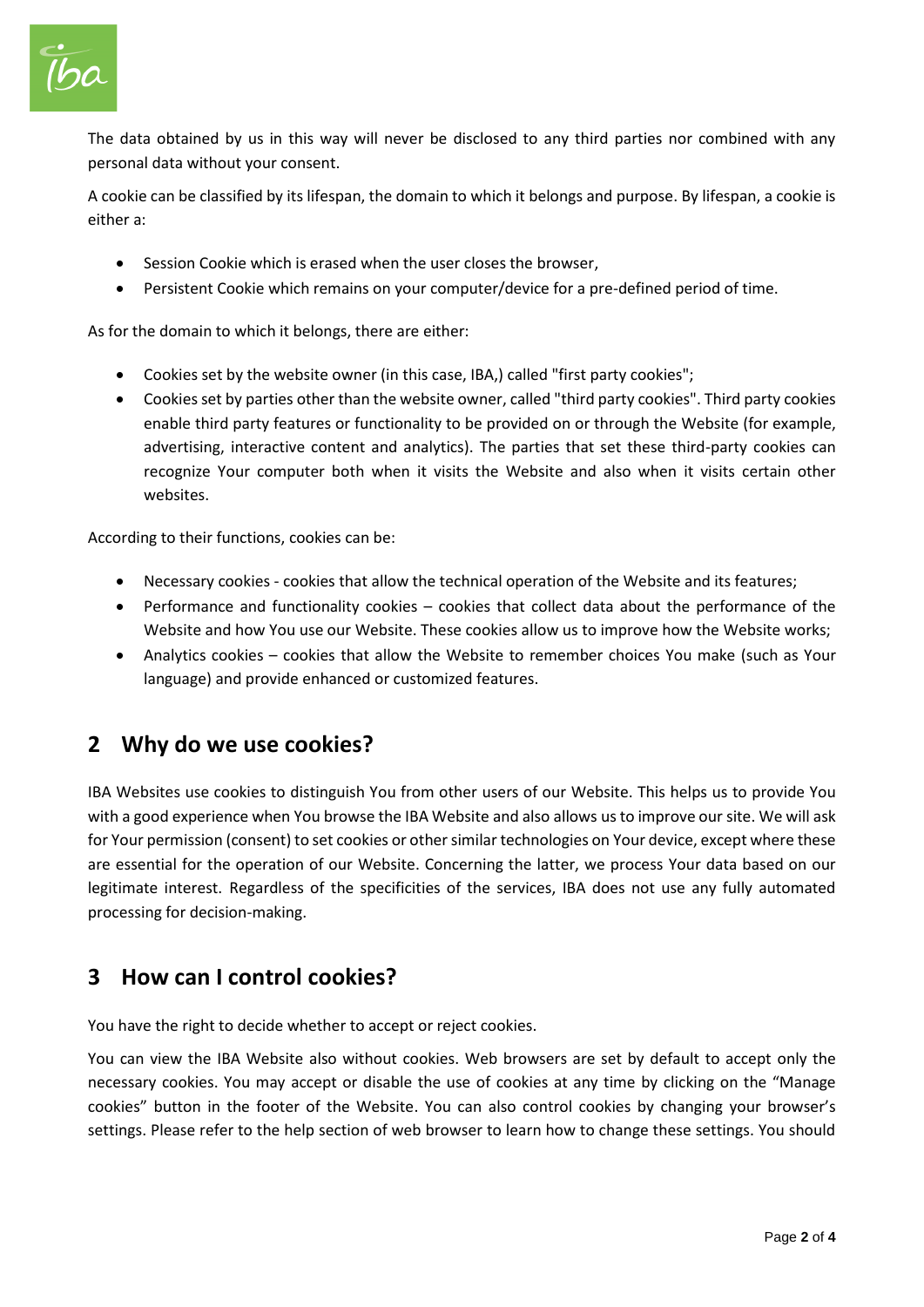

The data obtained by us in this way will never be disclosed to any third parties nor combined with any personal data without your consent.

A cookie can be classified by its lifespan, the domain to which it belongs and purpose. By lifespan, a cookie is either a:

- Session Cookie which is erased when the user closes the browser,
- Persistent Cookie which remains on your computer/device for a pre-defined period of time.

As for the domain to which it belongs, there are either:

- Cookies set by the website owner (in this case, IBA,) called "first party cookies";
- Cookies set by parties other than the website owner, called "third party cookies". Third party cookies enable third party features or functionality to be provided on or through the Website (for example, advertising, interactive content and analytics). The parties that set these third-party cookies can recognize Your computer both when it visits the Website and also when it visits certain other websites.

According to their functions, cookies can be:

- Necessary cookies cookies that allow the technical operation of the Website and its features;
- Performance and functionality cookies cookies that collect data about the performance of the Website and how You use our Website. These cookies allow us to improve how the Website works;
- Analytics cookies cookies that allow the Website to remember choices You make (such as Your language) and provide enhanced or customized features.

#### **2 Why do we use cookies?**

IBA Websites use cookies to distinguish You from other users of our Website. This helps us to provide You with a good experience when You browse the IBA Website and also allows us to improve our site. We will ask for Your permission (consent) to set cookies or other similar technologies on Your device, except where these are essential for the operation of our Website. Concerning the latter, we process Your data based on our legitimate interest. Regardless of the specificities of the services, IBA does not use any fully automated processing for decision-making.

#### **3 How can I control cookies?**

You have the right to decide whether to accept or reject cookies.

You can view the IBA Website also without cookies. Web browsers are set by default to accept only the necessary cookies. You may accept or disable the use of cookies at any time by clicking on the "Manage cookies" button in the footer of the Website. You can also control cookies by changing your browser's settings. Please refer to the help section of web browser to learn how to change these settings. You should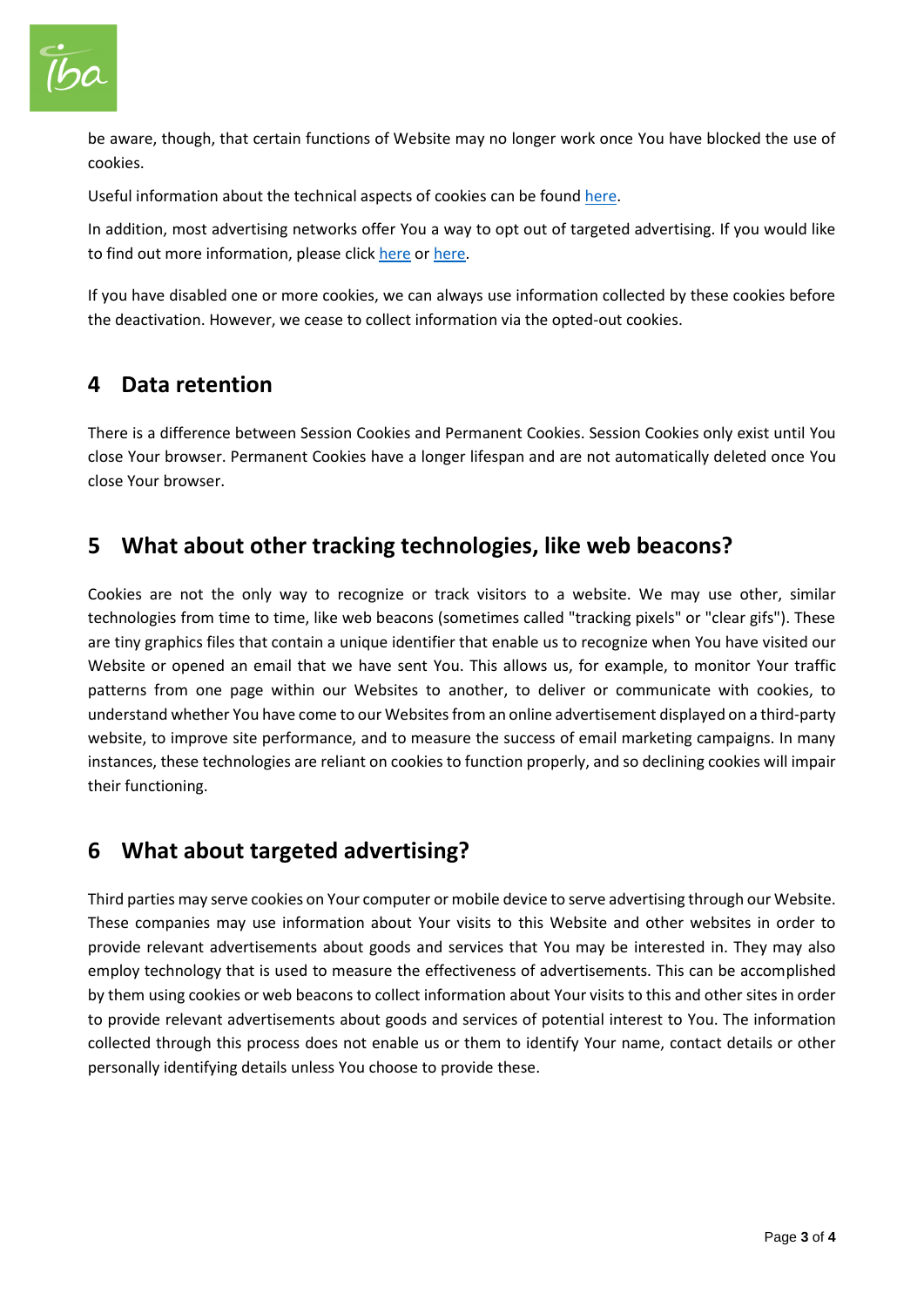

be aware, though, that certain functions of Website may no longer work once You have blocked the use of cookies.

Useful information about the technical aspects of cookies can be found [here.](http://www.allaboutcookies.org/)

In addition, most advertising networks offer You a way to opt out of targeted advertising. If you would like to find out more information, please click [here](http://www.aboutads.info/choices/) o[r here.](http://www.youronlinechoices.com/)

If you have disabled one or more cookies, we can always use information collected by these cookies before the deactivation. However, we cease to collect information via the opted-out cookies.

#### **4 Data retention**

There is a difference between Session Cookies and Permanent Cookies. Session Cookies only exist until You close Your browser. Permanent Cookies have a longer lifespan and are not automatically deleted once You close Your browser.

#### **5 What about other tracking technologies, like web beacons?**

Cookies are not the only way to recognize or track visitors to a website. We may use other, similar technologies from time to time, like web beacons (sometimes called "tracking pixels" or "clear gifs"). These are tiny graphics files that contain a unique identifier that enable us to recognize when You have visited our Website or opened an email that we have sent You. This allows us, for example, to monitor Your traffic patterns from one page within our Websites to another, to deliver or communicate with cookies, to understand whether You have come to our Websites from an online advertisement displayed on a third-party website, to improve site performance, and to measure the success of email marketing campaigns. In many instances, these technologies are reliant on cookies to function properly, and so declining cookies will impair their functioning.

### **6 What about targeted advertising?**

Third parties may serve cookies on Your computer or mobile device to serve advertising through our Website. These companies may use information about Your visits to this Website and other websites in order to provide relevant advertisements about goods and services that You may be interested in. They may also employ technology that is used to measure the effectiveness of advertisements. This can be accomplished by them using cookies or web beacons to collect information about Your visits to this and other sites in order to provide relevant advertisements about goods and services of potential interest to You. The information collected through this process does not enable us or them to identify Your name, contact details or other personally identifying details unless You choose to provide these.